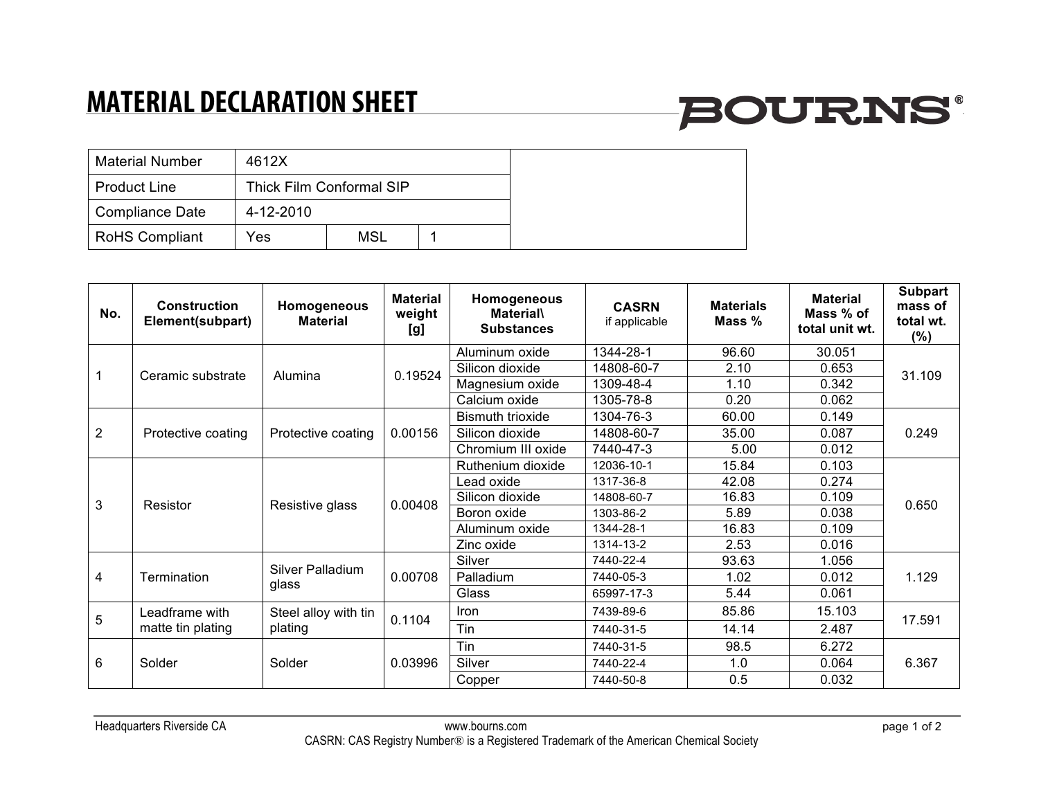## **MATERIAL DECLARATION SHEET**

# **BOURNS®**

| <b>Material Number</b> | 4612X                    |            |  |  |
|------------------------|--------------------------|------------|--|--|
| <b>Product Line</b>    | Thick Film Conformal SIP |            |  |  |
| Compliance Date        | 4-12-2010                |            |  |  |
| <b>RoHS Compliant</b>  | Yes                      | <b>MSL</b> |  |  |

| No.            | Construction<br>Element(subpart)    | Homogeneous<br><b>Material</b>  | <b>Material</b><br>weight<br>[g] | Homogeneous<br><b>Material</b><br><b>Substances</b> | <b>CASRN</b><br>if applicable | <b>Materials</b><br>Mass % | <b>Material</b><br>Mass % of<br>total unit wt. | <b>Subpart</b><br>mass of<br>total wt.<br>$(\%)$ |
|----------------|-------------------------------------|---------------------------------|----------------------------------|-----------------------------------------------------|-------------------------------|----------------------------|------------------------------------------------|--------------------------------------------------|
|                | Ceramic substrate                   | Alumina                         | 0.19524                          | Aluminum oxide                                      | 1344-28-1                     | 96.60                      | 30.051                                         | 31.109                                           |
|                |                                     |                                 |                                  | Silicon dioxide                                     | 14808-60-7                    | 2.10                       | 0.653                                          |                                                  |
|                |                                     |                                 |                                  | Magnesium oxide                                     | 1309-48-4                     | 1.10                       | 0.342                                          |                                                  |
|                |                                     |                                 |                                  | Calcium oxide                                       | 1305-78-8                     | 0.20                       | 0.062                                          |                                                  |
| $\overline{2}$ | Protective coating                  | Protective coating              | 0.00156                          | <b>Bismuth trioxide</b>                             | 1304-76-3                     | 60.00                      | 0.149                                          | 0.249                                            |
|                |                                     |                                 |                                  | Silicon dioxide                                     | 14808-60-7                    | 35.00                      | 0.087                                          |                                                  |
|                |                                     |                                 |                                  | Chromium III oxide                                  | 7440-47-3                     | 5.00                       | 0.012                                          |                                                  |
| 3              | Resistor                            | Resistive glass                 | 0.00408                          | Ruthenium dioxide                                   | 12036-10-1                    | 15.84                      | 0.103                                          | 0.650                                            |
|                |                                     |                                 |                                  | _ead oxide                                          | 1317-36-8                     | 42.08                      | 0.274                                          |                                                  |
|                |                                     |                                 |                                  | Silicon dioxide                                     | 14808-60-7                    | 16.83                      | 0.109                                          |                                                  |
|                |                                     |                                 |                                  | Boron oxide                                         | 1303-86-2                     | 5.89                       | 0.038                                          |                                                  |
|                |                                     |                                 |                                  | Aluminum oxide                                      | 1344-28-1                     | 16.83                      | 0.109                                          |                                                  |
|                |                                     |                                 |                                  | Zinc oxide                                          | 1314-13-2                     | 2.53                       | 0.016                                          |                                                  |
| 4              | Termination                         | Silver Palladium<br>glass       | 0.00708                          | Silver                                              | 7440-22-4                     | 93.63                      | 1.056                                          | 1.129                                            |
|                |                                     |                                 |                                  | Palladium                                           | 7440-05-3                     | 1.02                       | 0.012                                          |                                                  |
|                |                                     |                                 |                                  | Glass                                               | 65997-17-3                    | 5.44                       | 0.061                                          |                                                  |
| 5              | Leadframe with<br>matte tin plating | Steel alloy with tin<br>plating | 0.1104                           | <b>Iron</b>                                         | 7439-89-6                     | 85.86                      | 15.103                                         | 17.591                                           |
|                |                                     |                                 |                                  | Tin                                                 | 7440-31-5                     | 14.14                      | 2.487                                          |                                                  |
| 6              | Solder                              | Solder                          | 0.03996                          | Tin                                                 | 7440-31-5                     | 98.5                       | 6.272                                          | 6.367                                            |
|                |                                     |                                 |                                  | Silver                                              | 7440-22-4                     | 1.0                        | 0.064                                          |                                                  |
|                |                                     |                                 |                                  | Copper                                              | 7440-50-8                     | 0.5                        | 0.032                                          |                                                  |